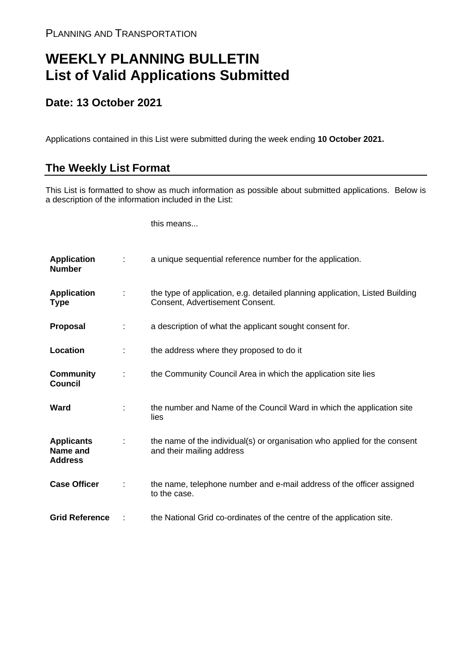## **WEEKLY PLANNING BULLETIN List of Valid Applications Submitted**

## **Date: 13 October 2021**

Applications contained in this List were submitted during the week ending **10 October 2021.**

## **The Weekly List Format**

This List is formatted to show as much information as possible about submitted applications. Below is a description of the information included in the List:

this means...

| <b>Application</b><br><b>Number</b>             |               | a unique sequential reference number for the application.                                                       |
|-------------------------------------------------|---------------|-----------------------------------------------------------------------------------------------------------------|
| <b>Application</b><br><b>Type</b>               | $\mathcal{L}$ | the type of application, e.g. detailed planning application, Listed Building<br>Consent, Advertisement Consent. |
| <b>Proposal</b>                                 | ÷             | a description of what the applicant sought consent for.                                                         |
| Location                                        |               | the address where they proposed to do it                                                                        |
| <b>Community</b><br><b>Council</b>              |               | the Community Council Area in which the application site lies                                                   |
| Ward                                            |               | the number and Name of the Council Ward in which the application site<br>lies                                   |
| <b>Applicants</b><br>Name and<br><b>Address</b> |               | the name of the individual(s) or organisation who applied for the consent<br>and their mailing address          |
| <b>Case Officer</b>                             |               | the name, telephone number and e-mail address of the officer assigned<br>to the case.                           |
| <b>Grid Reference</b>                           |               | the National Grid co-ordinates of the centre of the application site.                                           |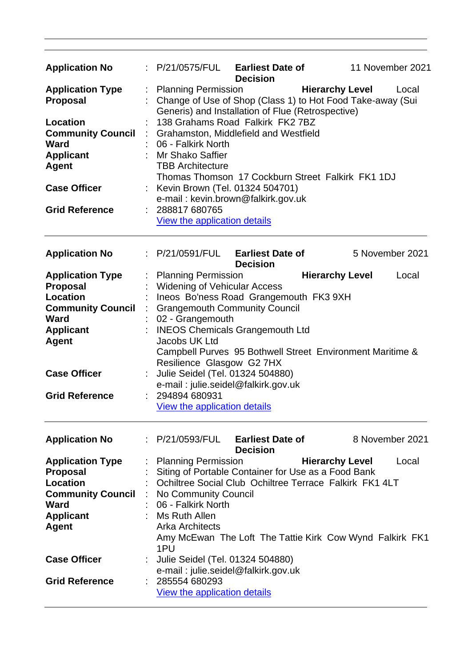| <b>Application No</b>                                                                   |  | : P/21/0575/FUL                                                                                                                                                                                                                                                                                                                                                                                | <b>Earliest Date of</b><br><b>Decision</b> |                        | 11 November 2021 |       |
|-----------------------------------------------------------------------------------------|--|------------------------------------------------------------------------------------------------------------------------------------------------------------------------------------------------------------------------------------------------------------------------------------------------------------------------------------------------------------------------------------------------|--------------------------------------------|------------------------|------------------|-------|
| <b>Application Type</b><br><b>Proposal</b>                                              |  | <b>Hierarchy Level</b><br><b>Planning Permission</b><br>Local<br>Change of Use of Shop (Class 1) to Hot Food Take-away (Sui<br>Generis) and Installation of Flue (Retrospective)<br>138 Grahams Road Falkirk FK2 7BZ<br>Grahamston, Middlefield and Westfield<br>06 - Falkirk North<br><b>Mr Shako Saffier</b><br><b>TBB Architecture</b><br>Thomas Thomson 17 Cockburn Street Falkirk FK1 1DJ |                                            |                        |                  |       |
| <b>Location</b><br><b>Community Council</b><br><b>Ward</b><br><b>Applicant</b><br>Agent |  |                                                                                                                                                                                                                                                                                                                                                                                                |                                            |                        |                  |       |
| <b>Case Officer</b>                                                                     |  | Kevin Brown (Tel. 01324 504701)<br>e-mail: kevin.brown@falkirk.gov.uk                                                                                                                                                                                                                                                                                                                          |                                            |                        |                  |       |
| <b>Grid Reference</b>                                                                   |  | 288817 680765<br>View the application details                                                                                                                                                                                                                                                                                                                                                  |                                            |                        |                  |       |
| <b>Application No</b>                                                                   |  | : P/21/0591/FUL                                                                                                                                                                                                                                                                                                                                                                                | <b>Earliest Date of</b><br><b>Decision</b> |                        | 5 November 2021  |       |
| <b>Application Type</b>                                                                 |  | <b>Planning Permission</b>                                                                                                                                                                                                                                                                                                                                                                     |                                            | <b>Hierarchy Level</b> |                  | Local |
| <b>Proposal</b>                                                                         |  | <b>Widening of Vehicular Access</b>                                                                                                                                                                                                                                                                                                                                                            |                                            |                        |                  |       |
| Location                                                                                |  | Ineos Bo'ness Road Grangemouth FK3 9XH                                                                                                                                                                                                                                                                                                                                                         |                                            |                        |                  |       |
| <b>Community Council</b>                                                                |  | <b>Grangemouth Community Council</b>                                                                                                                                                                                                                                                                                                                                                           |                                            |                        |                  |       |
|                                                                                         |  |                                                                                                                                                                                                                                                                                                                                                                                                |                                            |                        |                  |       |
| <b>Ward</b>                                                                             |  | 02 - Grangemouth                                                                                                                                                                                                                                                                                                                                                                               |                                            |                        |                  |       |
| <b>Applicant</b>                                                                        |  | <b>INEOS Chemicals Grangemouth Ltd</b>                                                                                                                                                                                                                                                                                                                                                         |                                            |                        |                  |       |
| <b>Agent</b>                                                                            |  | Jacobs UK Ltd                                                                                                                                                                                                                                                                                                                                                                                  |                                            |                        |                  |       |
|                                                                                         |  | Campbell Purves 95 Bothwell Street Environment Maritime &                                                                                                                                                                                                                                                                                                                                      |                                            |                        |                  |       |
|                                                                                         |  | Resilience Glasgow G2 7HX                                                                                                                                                                                                                                                                                                                                                                      |                                            |                        |                  |       |
| <b>Case Officer</b>                                                                     |  | Julie Seidel (Tel. 01324 504880)                                                                                                                                                                                                                                                                                                                                                               |                                            |                        |                  |       |
|                                                                                         |  |                                                                                                                                                                                                                                                                                                                                                                                                |                                            |                        |                  |       |
|                                                                                         |  | e-mail: julie.seidel@falkirk.gov.uk                                                                                                                                                                                                                                                                                                                                                            |                                            |                        |                  |       |
| <b>Grid Reference</b>                                                                   |  | 294894 680931                                                                                                                                                                                                                                                                                                                                                                                  |                                            |                        |                  |       |
|                                                                                         |  | View the application details                                                                                                                                                                                                                                                                                                                                                                   |                                            |                        |                  |       |
| <b>Application No</b>                                                                   |  | : P/21/0593/FUL                                                                                                                                                                                                                                                                                                                                                                                | <b>Earliest Date of</b><br><b>Decision</b> |                        | 8 November 2021  |       |
| <b>Application Type</b>                                                                 |  | <b>Planning Permission</b>                                                                                                                                                                                                                                                                                                                                                                     |                                            | <b>Hierarchy Level</b> |                  | Local |
| <b>Proposal</b>                                                                         |  |                                                                                                                                                                                                                                                                                                                                                                                                |                                            |                        |                  |       |
| <b>Location</b>                                                                         |  | Siting of Portable Container for Use as a Food Bank<br>Ochiltree Social Club Ochiltree Terrace Falkirk FK1 4LT                                                                                                                                                                                                                                                                                 |                                            |                        |                  |       |
| <b>Community Council</b>                                                                |  | No Community Council                                                                                                                                                                                                                                                                                                                                                                           |                                            |                        |                  |       |
| Ward                                                                                    |  | 06 - Falkirk North                                                                                                                                                                                                                                                                                                                                                                             |                                            |                        |                  |       |
|                                                                                         |  |                                                                                                                                                                                                                                                                                                                                                                                                |                                            |                        |                  |       |
| <b>Applicant</b>                                                                        |  | Ms Ruth Allen                                                                                                                                                                                                                                                                                                                                                                                  |                                            |                        |                  |       |
| <b>Agent</b>                                                                            |  | <b>Arka Architects</b><br>Amy McEwan The Loft The Tattie Kirk Cow Wynd Falkirk FK1<br>1PU                                                                                                                                                                                                                                                                                                      |                                            |                        |                  |       |
| <b>Case Officer</b>                                                                     |  | Julie Seidel (Tel. 01324 504880)                                                                                                                                                                                                                                                                                                                                                               |                                            |                        |                  |       |
|                                                                                         |  | e-mail: julie.seidel@falkirk.gov.uk                                                                                                                                                                                                                                                                                                                                                            |                                            |                        |                  |       |
|                                                                                         |  |                                                                                                                                                                                                                                                                                                                                                                                                |                                            |                        |                  |       |
| <b>Grid Reference</b>                                                                   |  | 285554 680293                                                                                                                                                                                                                                                                                                                                                                                  |                                            |                        |                  |       |
|                                                                                         |  | View the application details                                                                                                                                                                                                                                                                                                                                                                   |                                            |                        |                  |       |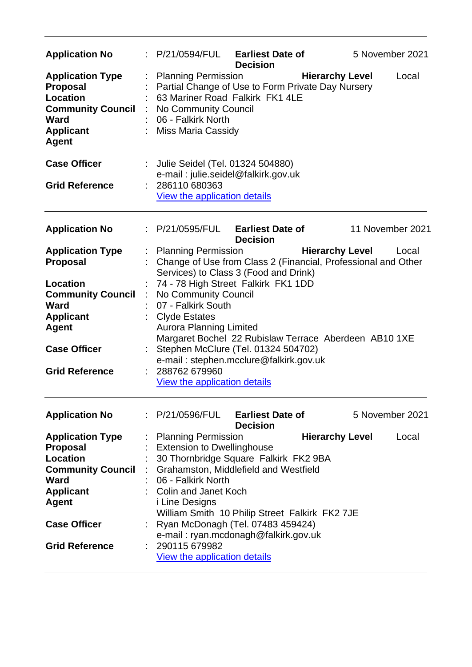| <b>Application No</b>                                                                                                                                                   | P/21/0594/FUL                                                                                                                                                                                  | <b>Earliest Date of</b><br><b>Decision</b>                                                                                                                                                                    | 5 November 2021                                                                                  |
|-------------------------------------------------------------------------------------------------------------------------------------------------------------------------|------------------------------------------------------------------------------------------------------------------------------------------------------------------------------------------------|---------------------------------------------------------------------------------------------------------------------------------------------------------------------------------------------------------------|--------------------------------------------------------------------------------------------------|
| <b>Application Type</b><br><b>Proposal</b><br>Location<br><b>Community Council</b><br><b>Ward</b><br><b>Applicant</b><br><b>Agent</b>                                   | <b>Planning Permission</b><br>No Community Council<br>06 - Falkirk North<br><b>Miss Maria Cassidy</b>                                                                                          | Partial Change of Use to Form Private Day Nursery<br>63 Mariner Road Falkirk FK1 4LE                                                                                                                          | <b>Hierarchy Level</b><br>Local                                                                  |
| <b>Case Officer</b><br><b>Grid Reference</b>                                                                                                                            | Julie Seidel (Tel. 01324 504880)<br>286110 680363<br>View the application details                                                                                                              | e-mail: julie.seidel@falkirk.gov.uk                                                                                                                                                                           |                                                                                                  |
| <b>Application No</b>                                                                                                                                                   | $\therefore$ P/21/0595/FUL Earliest Date of                                                                                                                                                    | <b>Decision</b>                                                                                                                                                                                               | 11 November 2021                                                                                 |
| <b>Application Type</b><br><b>Proposal</b>                                                                                                                              | <b>Planning Permission</b>                                                                                                                                                                     | Services) to Class 3 (Food and Drink)                                                                                                                                                                         | <b>Hierarchy Level</b><br>Local<br>Change of Use from Class 2 (Financial, Professional and Other |
| <b>Location</b><br><b>Community Council</b><br><b>Ward</b><br><b>Applicant</b><br>Agent<br><b>Case Officer</b><br><b>Grid Reference</b>                                 | No Community Council<br>07 - Falkirk South<br><b>Clyde Estates</b><br><b>Aurora Planning Limited</b><br>288762 679960<br><b>View the application details</b>                                   | 74 - 78 High Street Falkirk FK1 1DD<br>Stephen McClure (Tel. 01324 504702)<br>e-mail: stephen.mcclure@falkirk.gov.uk                                                                                          | Margaret Bochel 22 Rubislaw Terrace Aberdeen AB10 1XE                                            |
| <b>Application No</b>                                                                                                                                                   | : P/21/0596/FUL                                                                                                                                                                                | <b>Earliest Date of</b><br><b>Decision</b>                                                                                                                                                                    | 5 November 2021                                                                                  |
| <b>Application Type</b><br><b>Proposal</b><br>Location<br><b>Community Council</b><br>Ward<br><b>Applicant</b><br>Agent<br><b>Case Officer</b><br><b>Grid Reference</b> | <b>Planning Permission</b><br><b>Extension to Dwellinghouse</b><br>06 - Falkirk North<br><b>Colin and Janet Koch</b><br><i>i</i> Line Designs<br>290115 679982<br>View the application details | 30 Thornbridge Square Falkirk FK2 9BA<br>Grahamston, Middlefield and Westfield<br>William Smith 10 Philip Street Falkirk FK2 7JE<br>Ryan McDonagh (Tel. 07483 459424)<br>e-mail: ryan.mcdonagh@falkirk.gov.uk | <b>Hierarchy Level</b><br>Local                                                                  |